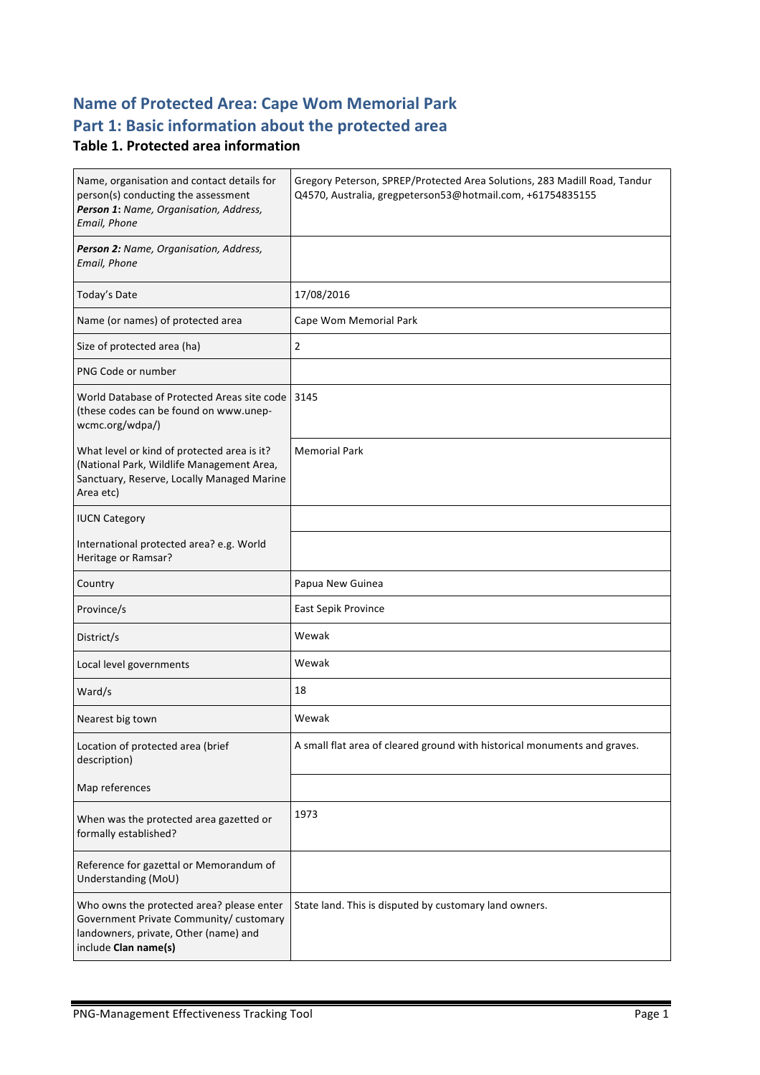# **Name of Protected Area: Cape Wom Memorial Park** Part 1: Basic information about the protected area

### **Table 1. Protected area information**

| Name, organisation and contact details for<br>person(s) conducting the assessment<br>Person 1: Name, Organisation, Address,<br>Email, Phone           | Gregory Peterson, SPREP/Protected Area Solutions, 283 Madill Road, Tandur<br>Q4570, Australia, gregpeterson53@hotmail.com, +61754835155 |  |
|-------------------------------------------------------------------------------------------------------------------------------------------------------|-----------------------------------------------------------------------------------------------------------------------------------------|--|
| Person 2: Name, Organisation, Address,<br>Email, Phone                                                                                                |                                                                                                                                         |  |
| Today's Date                                                                                                                                          | 17/08/2016                                                                                                                              |  |
| Name (or names) of protected area                                                                                                                     | Cape Wom Memorial Park                                                                                                                  |  |
| Size of protected area (ha)                                                                                                                           | $\overline{2}$                                                                                                                          |  |
| PNG Code or number                                                                                                                                    |                                                                                                                                         |  |
| World Database of Protected Areas site code 3145<br>(these codes can be found on www.unep-<br>wcmc.org/wdpa/)                                         |                                                                                                                                         |  |
| What level or kind of protected area is it?<br>(National Park, Wildlife Management Area,<br>Sanctuary, Reserve, Locally Managed Marine<br>Area etc)   | <b>Memorial Park</b>                                                                                                                    |  |
| <b>IUCN Category</b>                                                                                                                                  |                                                                                                                                         |  |
| International protected area? e.g. World<br>Heritage or Ramsar?                                                                                       |                                                                                                                                         |  |
| Country                                                                                                                                               | Papua New Guinea                                                                                                                        |  |
| Province/s                                                                                                                                            | East Sepik Province                                                                                                                     |  |
| District/s                                                                                                                                            | Wewak                                                                                                                                   |  |
| Local level governments                                                                                                                               | Wewak                                                                                                                                   |  |
| Ward/s                                                                                                                                                | 18                                                                                                                                      |  |
| Nearest big town                                                                                                                                      | Wewak                                                                                                                                   |  |
| Location of protected area (brief<br>description)                                                                                                     | A small flat area of cleared ground with historical monuments and graves.                                                               |  |
| Map references                                                                                                                                        |                                                                                                                                         |  |
| When was the protected area gazetted or<br>formally established?                                                                                      | 1973                                                                                                                                    |  |
| Reference for gazettal or Memorandum of<br>Understanding (MoU)                                                                                        |                                                                                                                                         |  |
| Who owns the protected area? please enter<br>Government Private Community/ customary<br>landowners, private, Other (name) and<br>include Clan name(s) | State land. This is disputed by customary land owners.                                                                                  |  |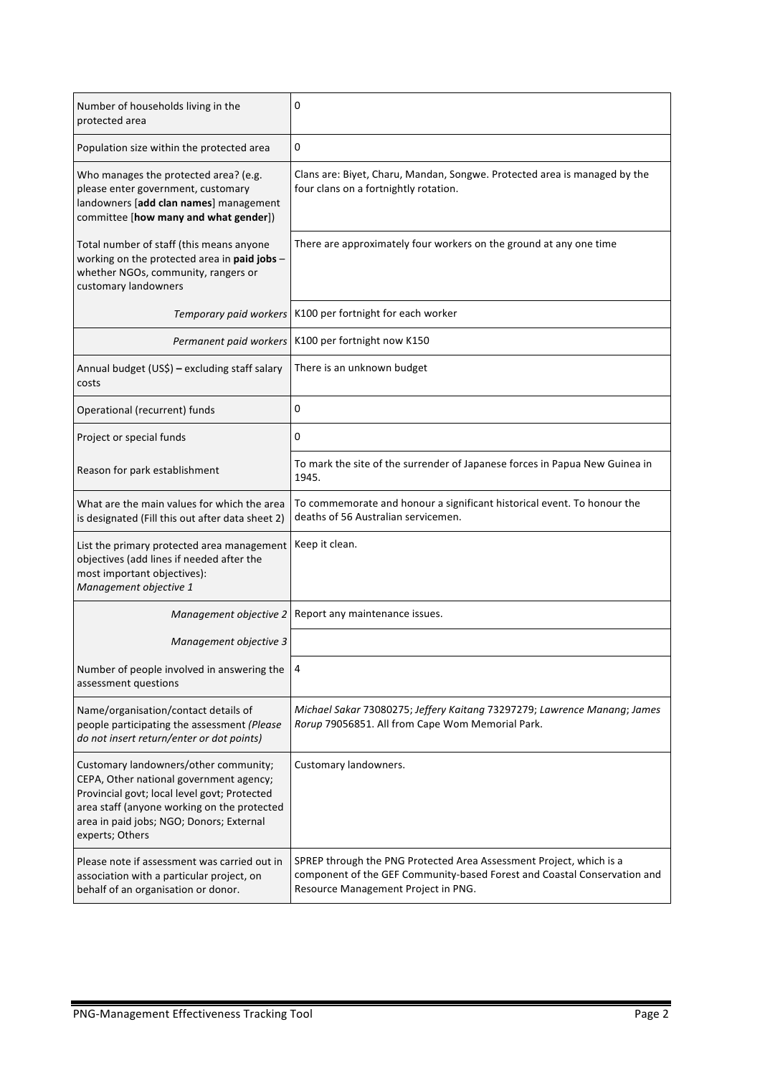| Number of households living in the<br>protected area                                                                                                                                                                                           | 0                                                                                                                                                                                      |
|------------------------------------------------------------------------------------------------------------------------------------------------------------------------------------------------------------------------------------------------|----------------------------------------------------------------------------------------------------------------------------------------------------------------------------------------|
| Population size within the protected area                                                                                                                                                                                                      | 0                                                                                                                                                                                      |
| Who manages the protected area? (e.g.<br>please enter government, customary<br>landowners [add clan names] management<br>committee [how many and what gender])                                                                                 | Clans are: Biyet, Charu, Mandan, Songwe. Protected area is managed by the<br>four clans on a fortnightly rotation.                                                                     |
| Total number of staff (this means anyone<br>working on the protected area in paid jobs -<br>whether NGOs, community, rangers or<br>customary landowners                                                                                        | There are approximately four workers on the ground at any one time                                                                                                                     |
| Temporary paid workers                                                                                                                                                                                                                         | K100 per fortnight for each worker                                                                                                                                                     |
| Permanent paid workers                                                                                                                                                                                                                         | K100 per fortnight now K150                                                                                                                                                            |
| Annual budget (US\$) - excluding staff salary<br>costs                                                                                                                                                                                         | There is an unknown budget                                                                                                                                                             |
| Operational (recurrent) funds                                                                                                                                                                                                                  | 0                                                                                                                                                                                      |
| Project or special funds                                                                                                                                                                                                                       | 0                                                                                                                                                                                      |
| Reason for park establishment                                                                                                                                                                                                                  | To mark the site of the surrender of Japanese forces in Papua New Guinea in<br>1945.                                                                                                   |
| What are the main values for which the area<br>is designated (Fill this out after data sheet 2)                                                                                                                                                | To commemorate and honour a significant historical event. To honour the<br>deaths of 56 Australian servicemen.                                                                         |
| List the primary protected area management<br>objectives (add lines if needed after the<br>most important objectives):<br>Management objective 1                                                                                               | Keep it clean.                                                                                                                                                                         |
| Management objective 2                                                                                                                                                                                                                         | Report any maintenance issues.                                                                                                                                                         |
| Management objective 3                                                                                                                                                                                                                         |                                                                                                                                                                                        |
| Number of people involved in answering the<br>assessment questions                                                                                                                                                                             | 4                                                                                                                                                                                      |
| Name/organisation/contact details of<br>people participating the assessment (Please<br>do not insert return/enter or dot points)                                                                                                               | Michael Sakar 73080275; Jeffery Kaitang 73297279; Lawrence Manang; James<br>Rorup 79056851. All from Cape Wom Memorial Park.                                                           |
| Customary landowners/other community;<br>CEPA, Other national government agency;<br>Provincial govt; local level govt; Protected<br>area staff (anyone working on the protected<br>area in paid jobs; NGO; Donors; External<br>experts; Others | Customary landowners.                                                                                                                                                                  |
| Please note if assessment was carried out in<br>association with a particular project, on<br>behalf of an organisation or donor.                                                                                                               | SPREP through the PNG Protected Area Assessment Project, which is a<br>component of the GEF Community-based Forest and Coastal Conservation and<br>Resource Management Project in PNG. |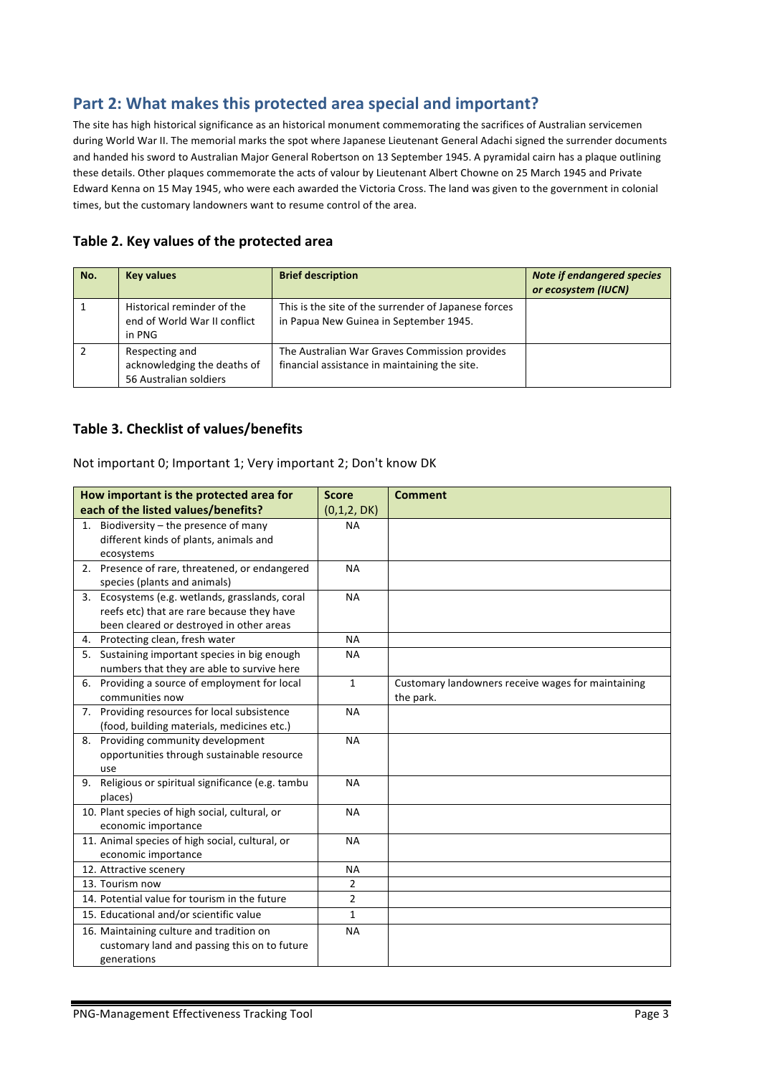## Part 2: What makes this protected area special and important?

The site has high historical significance as an historical monument commemorating the sacrifices of Australian servicemen during World War II. The memorial marks the spot where Japanese Lieutenant General Adachi signed the surrender documents and handed his sword to Australian Major General Robertson on 13 September 1945. A pyramidal cairn has a plaque outlining these details. Other plaques commemorate the acts of valour by Lieutenant Albert Chowne on 25 March 1945 and Private Edward Kenna on 15 May 1945, who were each awarded the Victoria Cross. The land was given to the government in colonial times, but the customary landowners want to resume control of the area.

### Table 2. Key values of the protected area

| No. | <b>Key values</b>                                                       | <b>Brief description</b>                                                                       | <b>Note if endangered species</b><br>or ecosystem (IUCN) |
|-----|-------------------------------------------------------------------------|------------------------------------------------------------------------------------------------|----------------------------------------------------------|
|     | Historical reminder of the<br>end of World War II conflict<br>in PNG    | This is the site of the surrender of Japanese forces<br>in Papua New Guinea in September 1945. |                                                          |
|     | Respecting and<br>acknowledging the deaths of<br>56 Australian soldiers | The Australian War Graves Commission provides<br>financial assistance in maintaining the site. |                                                          |

### **Table 3. Checklist of values/benefits**

#### Not important 0; Important 1; Very important 2; Don't know DK

| How important is the protected area for               | <b>Score</b>   | <b>Comment</b>                                     |
|-------------------------------------------------------|----------------|----------------------------------------------------|
| each of the listed values/benefits?                   | (0,1,2, DK)    |                                                    |
| Biodiversity - the presence of many<br>1.             | NA             |                                                    |
| different kinds of plants, animals and                |                |                                                    |
| ecosystems                                            |                |                                                    |
| 2. Presence of rare, threatened, or endangered        | <b>NA</b>      |                                                    |
| species (plants and animals)                          |                |                                                    |
| Ecosystems (e.g. wetlands, grasslands, coral<br>3.    | NA             |                                                    |
| reefs etc) that are rare because they have            |                |                                                    |
| been cleared or destroyed in other areas              |                |                                                    |
| 4. Protecting clean, fresh water                      | <b>NA</b>      |                                                    |
| Sustaining important species in big enough<br>5.      | <b>NA</b>      |                                                    |
| numbers that they are able to survive here            |                |                                                    |
| 6. Providing a source of employment for local         | $\mathbf{1}$   | Customary landowners receive wages for maintaining |
| communities now                                       |                | the park.                                          |
| 7. Providing resources for local subsistence          | <b>NA</b>      |                                                    |
| (food, building materials, medicines etc.)            |                |                                                    |
| 8. Providing community development                    | <b>NA</b>      |                                                    |
| opportunities through sustainable resource            |                |                                                    |
| use                                                   |                |                                                    |
| Religious or spiritual significance (e.g. tambu<br>9. | <b>NA</b>      |                                                    |
| places)                                               |                |                                                    |
| 10. Plant species of high social, cultural, or        | <b>NA</b>      |                                                    |
| economic importance                                   |                |                                                    |
| 11. Animal species of high social, cultural, or       | <b>NA</b>      |                                                    |
| economic importance                                   |                |                                                    |
| 12. Attractive scenery                                | <b>NA</b>      |                                                    |
| 13. Tourism now                                       | $\overline{2}$ |                                                    |
| 14. Potential value for tourism in the future         | $\overline{2}$ |                                                    |
| 15. Educational and/or scientific value               | $\mathbf{1}$   |                                                    |
| 16. Maintaining culture and tradition on              | <b>NA</b>      |                                                    |
| customary land and passing this on to future          |                |                                                    |
| generations                                           |                |                                                    |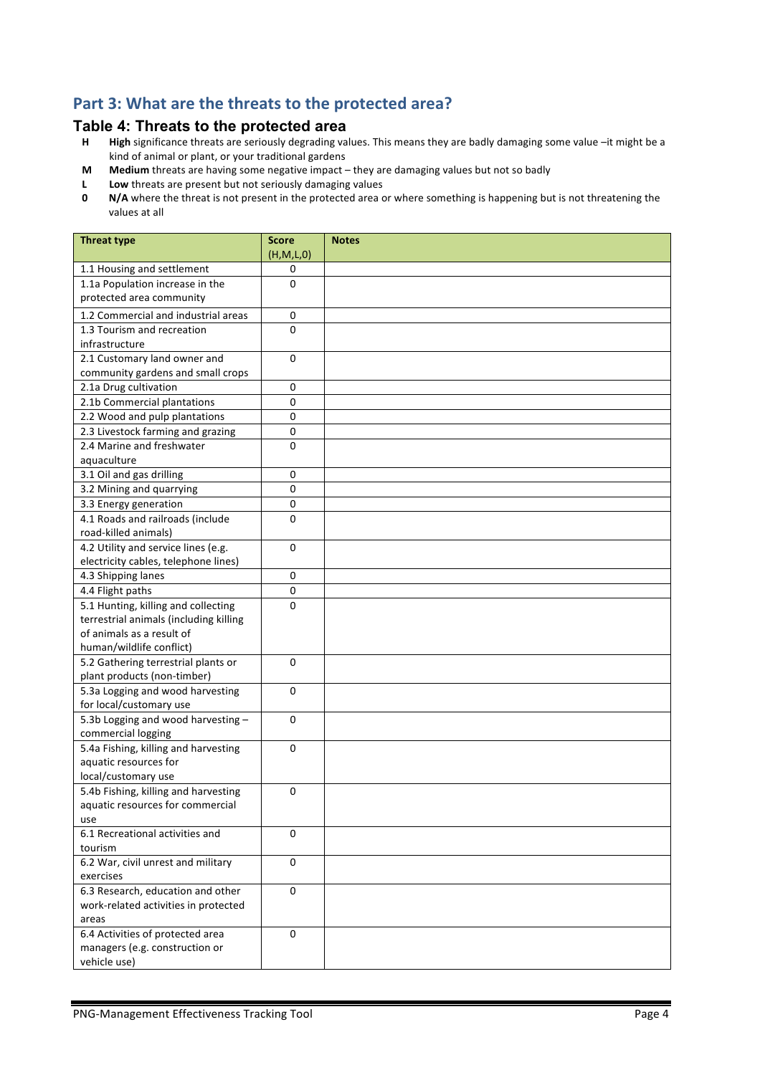## Part 3: What are the threats to the protected area?

# **Table 4: Threats to the protected area**<br>**H** High significance threats are seriously degrading va

- High significance threats are seriously degrading values. This means they are badly damaging some value -it might be a kind of animal or plant, or your traditional gardens
- **M** Medium threats are having some negative impact they are damaging values but not so badly
- **L** Low threats are present but not seriously damaging values<br>**0** N/A where the threat is not present in the protected area of
- **N/A** where the threat is not present in the protected area or where something is happening but is not threatening the values at all

| <b>Threat type</b>                     | <b>Score</b><br>(H, M, L, 0) | <b>Notes</b> |
|----------------------------------------|------------------------------|--------------|
| 1.1 Housing and settlement             | 0                            |              |
| 1.1a Population increase in the        | 0                            |              |
| protected area community               |                              |              |
| 1.2 Commercial and industrial areas    | 0                            |              |
| 1.3 Tourism and recreation             | 0                            |              |
| infrastructure                         |                              |              |
| 2.1 Customary land owner and           | $\mathbf 0$                  |              |
| community gardens and small crops      |                              |              |
| 2.1a Drug cultivation                  | 0                            |              |
| 2.1b Commercial plantations            | 0                            |              |
| 2.2 Wood and pulp plantations          | 0                            |              |
| 2.3 Livestock farming and grazing      | $\pmb{0}$                    |              |
| 2.4 Marine and freshwater              | $\Omega$                     |              |
| aquaculture                            |                              |              |
| 3.1 Oil and gas drilling               | $\pmb{0}$                    |              |
| 3.2 Mining and quarrying               | 0                            |              |
| 3.3 Energy generation                  | $\pmb{0}$                    |              |
| 4.1 Roads and railroads (include       | 0                            |              |
| road-killed animals)                   |                              |              |
| 4.2 Utility and service lines (e.g.    | $\Omega$                     |              |
| electricity cables, telephone lines)   |                              |              |
| 4.3 Shipping lanes                     | 0                            |              |
| 4.4 Flight paths                       | 0                            |              |
| 5.1 Hunting, killing and collecting    | $\Omega$                     |              |
| terrestrial animals (including killing |                              |              |
| of animals as a result of              |                              |              |
| human/wildlife conflict)               |                              |              |
| 5.2 Gathering terrestrial plants or    | $\mathbf{0}$                 |              |
| plant products (non-timber)            |                              |              |
| 5.3a Logging and wood harvesting       | 0                            |              |
| for local/customary use                |                              |              |
| 5.3b Logging and wood harvesting -     | $\mathbf 0$                  |              |
| commercial logging                     |                              |              |
| 5.4a Fishing, killing and harvesting   | $\Omega$                     |              |
| aquatic resources for                  |                              |              |
| local/customary use                    |                              |              |
| 5.4b Fishing, killing and harvesting   | 0                            |              |
| aquatic resources for commercial       |                              |              |
| use<br>6.1 Recreational activities and |                              |              |
| tourism                                | 0                            |              |
| 6.2 War, civil unrest and military     | 0                            |              |
| exercises                              |                              |              |
| 6.3 Research, education and other      | $\mathbf 0$                  |              |
| work-related activities in protected   |                              |              |
| areas                                  |                              |              |
| 6.4 Activities of protected area       | 0                            |              |
| managers (e.g. construction or         |                              |              |
| vehicle use)                           |                              |              |
|                                        |                              |              |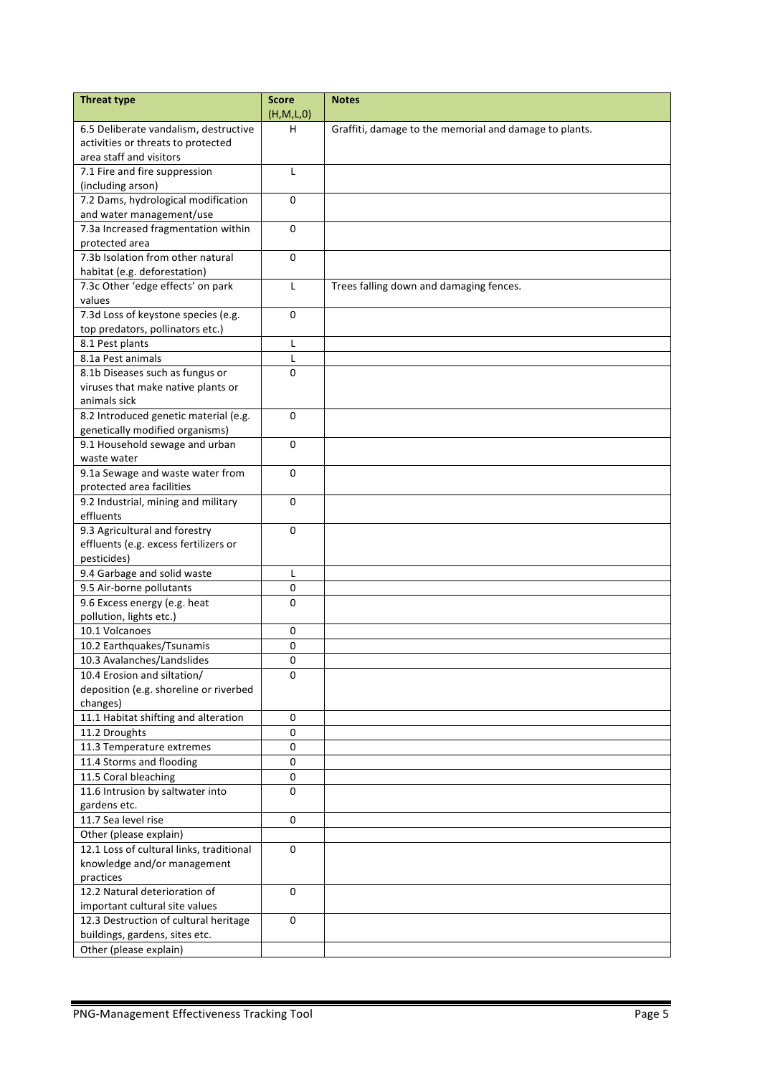| <b>Threat type</b>                       | <b>Score</b><br>(H,M,L,0) | <b>Notes</b>                                           |
|------------------------------------------|---------------------------|--------------------------------------------------------|
| 6.5 Deliberate vandalism, destructive    | н                         | Graffiti, damage to the memorial and damage to plants. |
| activities or threats to protected       |                           |                                                        |
| area staff and visitors                  |                           |                                                        |
| 7.1 Fire and fire suppression            | L                         |                                                        |
| (including arson)                        |                           |                                                        |
| 7.2 Dams, hydrological modification      | 0                         |                                                        |
| and water management/use                 |                           |                                                        |
| 7.3a Increased fragmentation within      | $\Omega$                  |                                                        |
| protected area                           |                           |                                                        |
| 7.3b Isolation from other natural        | $\Omega$                  |                                                        |
| habitat (e.g. deforestation)             |                           |                                                        |
| 7.3c Other 'edge effects' on park        | L                         | Trees falling down and damaging fences.                |
| values                                   |                           |                                                        |
| 7.3d Loss of keystone species (e.g.      | $\Omega$                  |                                                        |
| top predators, pollinators etc.)         |                           |                                                        |
| 8.1 Pest plants                          | L                         |                                                        |
| 8.1a Pest animals                        | L                         |                                                        |
| 8.1b Diseases such as fungus or          | $\Omega$                  |                                                        |
| viruses that make native plants or       |                           |                                                        |
| animals sick                             |                           |                                                        |
| 8.2 Introduced genetic material (e.g.    | 0                         |                                                        |
| genetically modified organisms)          |                           |                                                        |
| 9.1 Household sewage and urban           | 0                         |                                                        |
| waste water                              |                           |                                                        |
| 9.1a Sewage and waste water from         | 0                         |                                                        |
| protected area facilities                |                           |                                                        |
| 9.2 Industrial, mining and military      | $\mathbf{0}$              |                                                        |
| effluents                                |                           |                                                        |
| 9.3 Agricultural and forestry            | 0                         |                                                        |
| effluents (e.g. excess fertilizers or    |                           |                                                        |
| pesticides)                              |                           |                                                        |
| 9.4 Garbage and solid waste              | L                         |                                                        |
| 9.5 Air-borne pollutants                 | 0                         |                                                        |
| 9.6 Excess energy (e.g. heat             | 0                         |                                                        |
| pollution, lights etc.)                  |                           |                                                        |
| 10.1 Volcanoes                           | 0                         |                                                        |
| 10.2 Earthquakes/Tsunamis                | 0                         |                                                        |
| 10.3 Avalanches/Landslides               | 0                         |                                                        |
| 10.4 Erosion and siltation/              | 0                         |                                                        |
| deposition (e.g. shoreline or riverbed   |                           |                                                        |
| changes)                                 |                           |                                                        |
| 11.1 Habitat shifting and alteration     | 0                         |                                                        |
| 11.2 Droughts                            | $\pmb{0}$                 |                                                        |
| 11.3 Temperature extremes                | $\pmb{0}$                 |                                                        |
| 11.4 Storms and flooding                 | $\pmb{0}$                 |                                                        |
| 11.5 Coral bleaching                     | $\pmb{0}$                 |                                                        |
| 11.6 Intrusion by saltwater into         | 0                         |                                                        |
| gardens etc.                             |                           |                                                        |
| 11.7 Sea level rise                      | $\mathbf 0$               |                                                        |
| Other (please explain)                   |                           |                                                        |
| 12.1 Loss of cultural links, traditional | 0                         |                                                        |
| knowledge and/or management              |                           |                                                        |
| practices                                |                           |                                                        |
| 12.2 Natural deterioration of            | 0                         |                                                        |
| important cultural site values           |                           |                                                        |
| 12.3 Destruction of cultural heritage    | 0                         |                                                        |
| buildings, gardens, sites etc.           |                           |                                                        |
| Other (please explain)                   |                           |                                                        |
|                                          |                           |                                                        |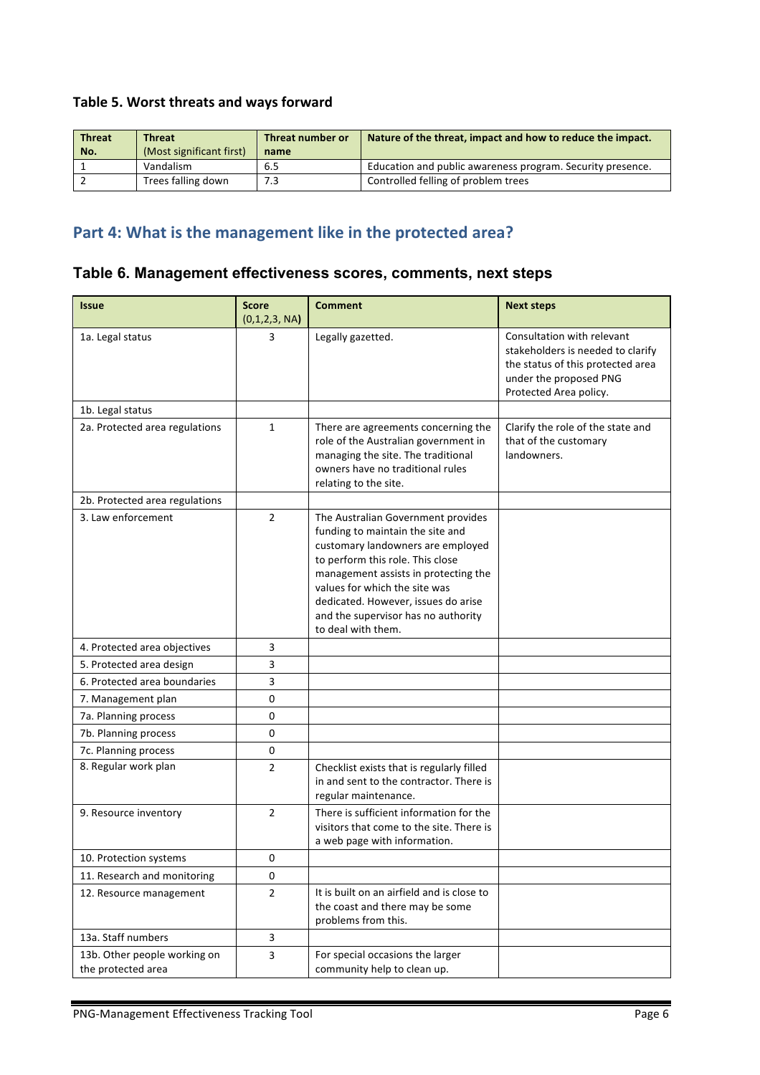### Table 5. Worst threats and ways forward

| <b>Threat</b> | <b>Threat</b>            | Threat number or | Nature of the threat, impact and how to reduce the impact. |
|---------------|--------------------------|------------------|------------------------------------------------------------|
| No.           | (Most significant first) | name             |                                                            |
|               | Vandalism                | 6.5              | Education and public awareness program. Security presence. |
|               | Trees falling down       | 7.3              | Controlled felling of problem trees                        |

# Part 4: What is the management like in the protected area?

| Table 6. Management effectiveness scores, comments, next steps |  |  |  |
|----------------------------------------------------------------|--|--|--|
|----------------------------------------------------------------|--|--|--|

| <b>Issue</b>                                       | <b>Score</b><br>(0,1,2,3, NA) | <b>Comment</b>                                                                                                                                                                                                                                                                                                               | <b>Next steps</b>                                                                                                                                        |
|----------------------------------------------------|-------------------------------|------------------------------------------------------------------------------------------------------------------------------------------------------------------------------------------------------------------------------------------------------------------------------------------------------------------------------|----------------------------------------------------------------------------------------------------------------------------------------------------------|
| 1a. Legal status                                   | 3                             | Legally gazetted.                                                                                                                                                                                                                                                                                                            | Consultation with relevant<br>stakeholders is needed to clarify<br>the status of this protected area<br>under the proposed PNG<br>Protected Area policy. |
| 1b. Legal status                                   |                               |                                                                                                                                                                                                                                                                                                                              |                                                                                                                                                          |
| 2a. Protected area regulations                     | $\mathbf{1}$                  | There are agreements concerning the<br>role of the Australian government in<br>managing the site. The traditional<br>owners have no traditional rules<br>relating to the site.                                                                                                                                               | Clarify the role of the state and<br>that of the customary<br>landowners.                                                                                |
| 2b. Protected area regulations                     |                               |                                                                                                                                                                                                                                                                                                                              |                                                                                                                                                          |
| 3. Law enforcement                                 | $\overline{2}$                | The Australian Government provides<br>funding to maintain the site and<br>customary landowners are employed<br>to perform this role. This close<br>management assists in protecting the<br>values for which the site was<br>dedicated. However, issues do arise<br>and the supervisor has no authority<br>to deal with them. |                                                                                                                                                          |
| 4. Protected area objectives                       | 3                             |                                                                                                                                                                                                                                                                                                                              |                                                                                                                                                          |
| 5. Protected area design                           | 3                             |                                                                                                                                                                                                                                                                                                                              |                                                                                                                                                          |
| 6. Protected area boundaries                       | 3                             |                                                                                                                                                                                                                                                                                                                              |                                                                                                                                                          |
| 7. Management plan                                 | 0                             |                                                                                                                                                                                                                                                                                                                              |                                                                                                                                                          |
| 7a. Planning process                               | 0                             |                                                                                                                                                                                                                                                                                                                              |                                                                                                                                                          |
| 7b. Planning process                               | 0                             |                                                                                                                                                                                                                                                                                                                              |                                                                                                                                                          |
| 7c. Planning process                               | 0                             |                                                                                                                                                                                                                                                                                                                              |                                                                                                                                                          |
| 8. Regular work plan                               | $\overline{2}$                | Checklist exists that is regularly filled<br>in and sent to the contractor. There is<br>regular maintenance.                                                                                                                                                                                                                 |                                                                                                                                                          |
| 9. Resource inventory                              | $\overline{2}$                | There is sufficient information for the<br>visitors that come to the site. There is<br>a web page with information.                                                                                                                                                                                                          |                                                                                                                                                          |
| 10. Protection systems                             | 0                             |                                                                                                                                                                                                                                                                                                                              |                                                                                                                                                          |
| 11. Research and monitoring                        | 0                             |                                                                                                                                                                                                                                                                                                                              |                                                                                                                                                          |
| 12. Resource management                            | $\overline{2}$                | It is built on an airfield and is close to<br>the coast and there may be some<br>problems from this.                                                                                                                                                                                                                         |                                                                                                                                                          |
| 13a. Staff numbers                                 | 3                             |                                                                                                                                                                                                                                                                                                                              |                                                                                                                                                          |
| 13b. Other people working on<br>the protected area | 3                             | For special occasions the larger<br>community help to clean up.                                                                                                                                                                                                                                                              |                                                                                                                                                          |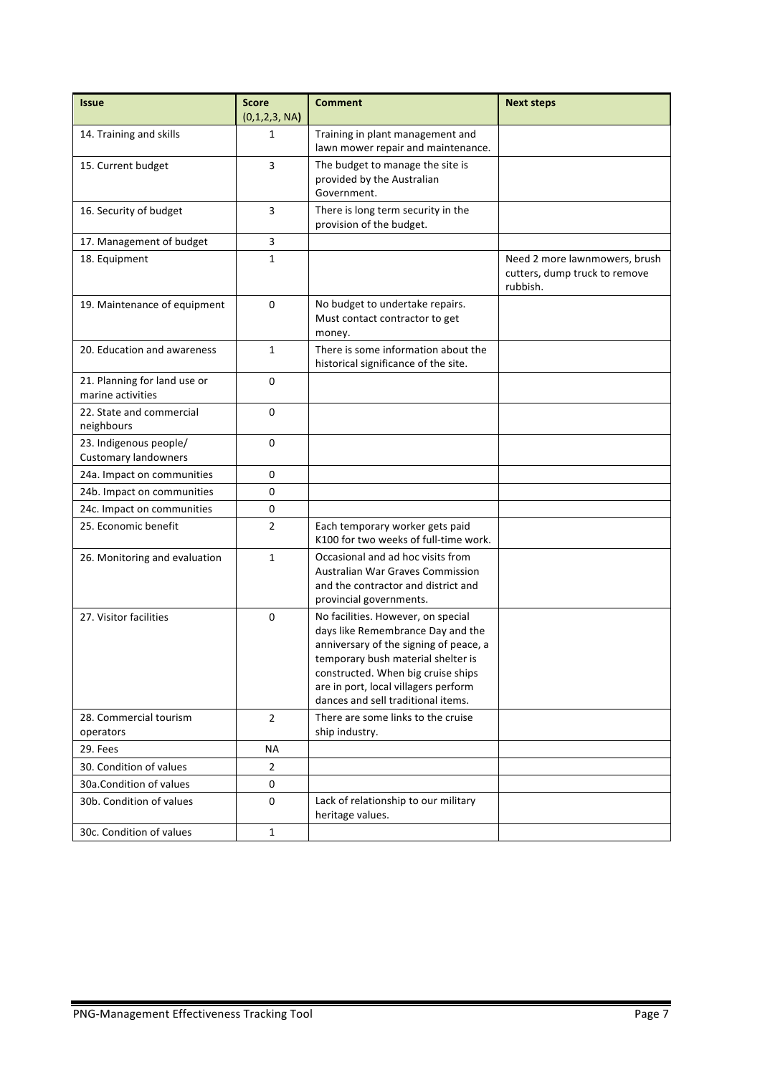| <b>Issue</b>                                          | <b>Score</b><br>(0,1,2,3, NA) | <b>Comment</b>                                                                                                                                                                                                                                                              | <b>Next steps</b>                                                          |
|-------------------------------------------------------|-------------------------------|-----------------------------------------------------------------------------------------------------------------------------------------------------------------------------------------------------------------------------------------------------------------------------|----------------------------------------------------------------------------|
| 14. Training and skills                               | 1                             | Training in plant management and<br>lawn mower repair and maintenance.                                                                                                                                                                                                      |                                                                            |
| 15. Current budget                                    | 3                             | The budget to manage the site is<br>provided by the Australian<br>Government.                                                                                                                                                                                               |                                                                            |
| 16. Security of budget                                | 3                             | There is long term security in the<br>provision of the budget.                                                                                                                                                                                                              |                                                                            |
| 17. Management of budget                              | 3                             |                                                                                                                                                                                                                                                                             |                                                                            |
| 18. Equipment                                         | 1                             |                                                                                                                                                                                                                                                                             | Need 2 more lawnmowers, brush<br>cutters, dump truck to remove<br>rubbish. |
| 19. Maintenance of equipment                          | $\Omega$                      | No budget to undertake repairs.<br>Must contact contractor to get<br>money.                                                                                                                                                                                                 |                                                                            |
| 20. Education and awareness                           | $\mathbf{1}$                  | There is some information about the<br>historical significance of the site.                                                                                                                                                                                                 |                                                                            |
| 21. Planning for land use or<br>marine activities     | $\Omega$                      |                                                                                                                                                                                                                                                                             |                                                                            |
| 22. State and commercial<br>neighbours                | 0                             |                                                                                                                                                                                                                                                                             |                                                                            |
| 23. Indigenous people/<br><b>Customary landowners</b> | $\mathbf 0$                   |                                                                                                                                                                                                                                                                             |                                                                            |
| 24a. Impact on communities                            | 0                             |                                                                                                                                                                                                                                                                             |                                                                            |
| 24b. Impact on communities                            | 0                             |                                                                                                                                                                                                                                                                             |                                                                            |
| 24c. Impact on communities                            | 0                             |                                                                                                                                                                                                                                                                             |                                                                            |
| 25. Economic benefit                                  | $\overline{2}$                | Each temporary worker gets paid<br>K100 for two weeks of full-time work.                                                                                                                                                                                                    |                                                                            |
| 26. Monitoring and evaluation                         | $\mathbf{1}$                  | Occasional and ad hoc visits from<br><b>Australian War Graves Commission</b><br>and the contractor and district and<br>provincial governments.                                                                                                                              |                                                                            |
| 27. Visitor facilities                                | 0                             | No facilities. However, on special<br>days like Remembrance Day and the<br>anniversary of the signing of peace, a<br>temporary bush material shelter is<br>constructed. When big cruise ships<br>are in port, local villagers perform<br>dances and sell traditional items. |                                                                            |
| 28. Commercial tourism<br>operators                   | $\overline{2}$                | There are some links to the cruise<br>ship industry.                                                                                                                                                                                                                        |                                                                            |
| 29. Fees                                              | <b>NA</b>                     |                                                                                                                                                                                                                                                                             |                                                                            |
| 30. Condition of values                               | $\overline{2}$                |                                                                                                                                                                                                                                                                             |                                                                            |
| 30a.Condition of values                               | 0                             |                                                                                                                                                                                                                                                                             |                                                                            |
| 30b. Condition of values                              | 0                             | Lack of relationship to our military<br>heritage values.                                                                                                                                                                                                                    |                                                                            |
| 30c. Condition of values                              | $\mathbf{1}$                  |                                                                                                                                                                                                                                                                             |                                                                            |